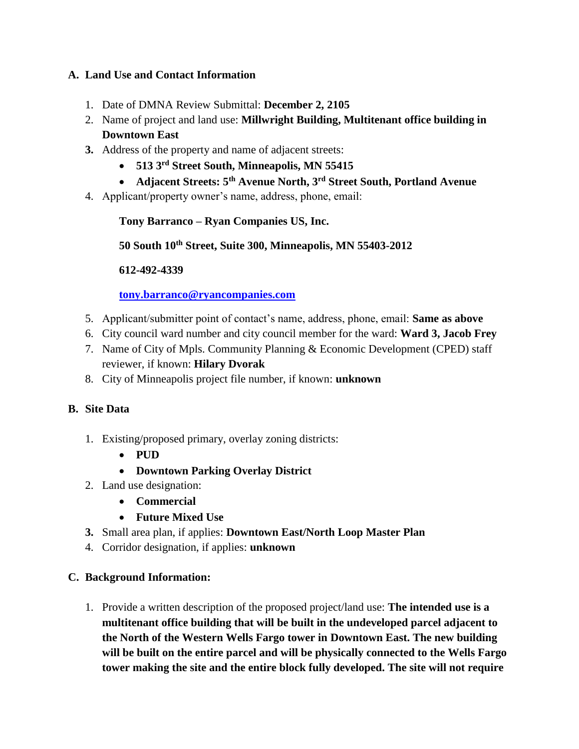## **A. Land Use and Contact Information**

- 1. Date of DMNA Review Submittal: **December 2, 2105**
- 2. Name of project and land use: **Millwright Building, Multitenant office building in Downtown East**
- **3.** Address of the property and name of adjacent streets:
	- **513 3rd Street South, Minneapolis, MN 55415**
	- **Adjacent Streets: 5th Avenue North, 3rd Street South, Portland Avenue**
- 4. Applicant/property owner's name, address, phone, email:

### **Tony Barranco – Ryan Companies US, Inc.**

**50 South 10th Street, Suite 300, Minneapolis, MN 55403-2012**

### **612-492-4339**

**[tony.barranco@ryancompanies.com](mailto:tony.barranco@ryancompanies.com)**

- 5. Applicant/submitter point of contact's name, address, phone, email: **Same as above**
- 6. City council ward number and city council member for the ward: **Ward 3, Jacob Frey**
- 7. Name of City of Mpls. Community Planning & Economic Development (CPED) staff reviewer, if known: **Hilary Dvorak**
- 8. City of Minneapolis project file number, if known: **unknown**

# **B. Site Data**

- 1. Existing/proposed primary, overlay zoning districts:
	- $\bullet$  **PUD**
	- **Downtown Parking Overlay District**
- 2. Land use designation:
	- **Commercial**
	- **Future Mixed Use**
- **3.** Small area plan, if applies: **Downtown East/North Loop Master Plan**
- 4. Corridor designation, if applies: **unknown**

### **C. Background Information:**

1. Provide a written description of the proposed project/land use: **The intended use is a multitenant office building that will be built in the undeveloped parcel adjacent to the North of the Western Wells Fargo tower in Downtown East. The new building will be built on the entire parcel and will be physically connected to the Wells Fargo tower making the site and the entire block fully developed. The site will not require**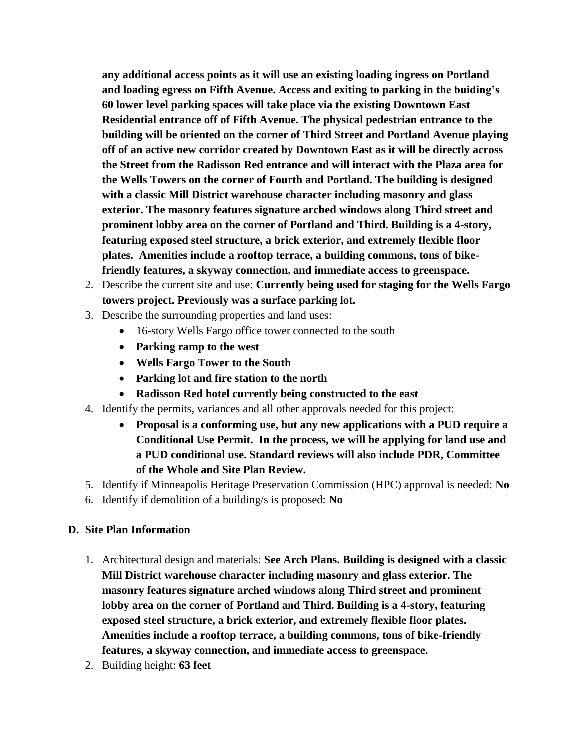**any additional access points as it will use an existing loading ingress on Portland and loading egress on Fifth Avenue. Access and exiting to parking in the buiding's 60 lower level parking spaces will take place via the existing Downtown East Residential entrance off of Fifth Avenue. The physical pedestrian entrance to the building will be oriented on the corner of Third Street and Portland Avenue playing off of an active new corridor created by Downtown East as it will be directly across the Street from the Radisson Red entrance and will interact with the Plaza area for the Wells Towers on the corner of Fourth and Portland. The building is designed with a classic Mill District warehouse character including masonry and glass exterior. The masonry features signature arched windows along Third street and prominent lobby area on the corner of Portland and Third. Building is a 4-story, featuring exposed steel structure, a brick exterior, and extremely flexible floor plates. Amenities include a rooftop terrace, a building commons, tons of bikefriendly features, a skyway connection, and immediate access to greenspace.** 

- 2. Describe the current site and use: **Currently being used for staging for the Wells Fargo towers project. Previously was a surface parking lot.**
- 3. Describe the surrounding properties and land uses:
	- 16-story Wells Fargo office tower connected to the south
	- **Parking ramp to the west**
	- **Wells Fargo Tower to the South**
	- **Parking lot and fire station to the north**
	- **Radisson Red hotel currently being constructed to the east**
- 4. Identify the permits, variances and all other approvals needed for this project:
	- **Proposal is a conforming use, but any new applications with a PUD require a Conditional Use Permit. In the process, we will be applying for land use and a PUD conditional use. Standard reviews will also include PDR, Committee of the Whole and Site Plan Review.**
- 5. Identify if Minneapolis Heritage Preservation Commission (HPC) approval is needed: **No**
- 6. Identify if demolition of a building/s is proposed: **No**

### **D. Site Plan Information**

- 1. Architectural design and materials: **See Arch Plans. Building is designed with a classic Mill District warehouse character including masonry and glass exterior. The masonry features signature arched windows along Third street and prominent lobby area on the corner of Portland and Third. Building is a 4-story, featuring exposed steel structure, a brick exterior, and extremely flexible floor plates. Amenities include a rooftop terrace, a building commons, tons of bike-friendly features, a skyway connection, and immediate access to greenspace.**
- 2. Building height: **63 feet**